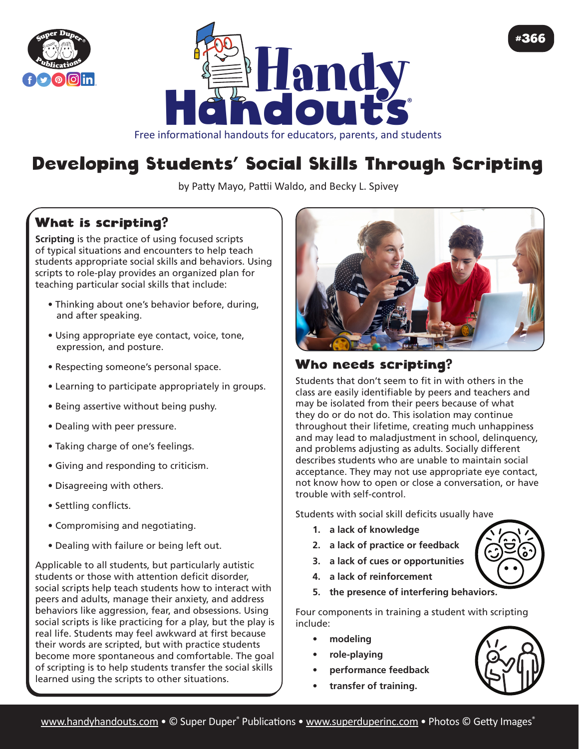



# Developing Students' Social Skills Through Scripting

by Patty Mayo, Pattii Waldo, and Becky L. Spivey

## What is scripting?

**Scripting** is the practice of using focused scripts of typical situations and encounters to help teach students appropriate social skills and behaviors. Using scripts to role-play provides an organized plan for teaching particular social skills that include:

- Thinking about one's behavior before, during, and after speaking.
- Using appropriate eye contact, voice, tone, expression, and posture.
- Respecting someone's personal space.
- Learning to participate appropriately in groups.
- Being assertive without being pushy.
- Dealing with peer pressure.
- Taking charge of one's feelings.
- Giving and responding to criticism.
- Disagreeing with others.
- Settling conflicts.
- Compromising and negotiating.
- Dealing with failure or being left out.

Applicable to all students, but particularly autistic students or those with attention deficit disorder, social scripts help teach students how to interact with peers and adults, manage their anxiety, and address behaviors like aggression, fear, and obsessions. Using social scripts is like practicing for a play, but the play is real life. Students may feel awkward at first because their words are scripted, but with practice students become more spontaneous and comfortable. The goal of scripting is to help students transfer the social skills learned using the scripts to other situations.



#### Who needs scripting?

Students that don't seem to fit in with others in the class are easily identifiable by peers and teachers and may be isolated from their peers because of what they do or do not do. This isolation may continue throughout their lifetime, creating much unhappiness and may lead to maladjustment in school, delinquency, and problems adjusting as adults. Socially different describes students who are unable to maintain social acceptance. They may not use appropriate eye contact, not know how to open or close a conversation, or have trouble with self-control.

Students with social skill deficits usually have

- **1. a lack of knowledge**
- **2. a lack of practice or feedback**
- **3. a lack of cues or opportunities**
- **4. a lack of reinforcement**
- **5. the presence of interfering behaviors.**

Four components in training a student with scripting include:

- **• modeling**
- **• role-playing**
- **• performance feedback**
- **• transfer of training.**



#366